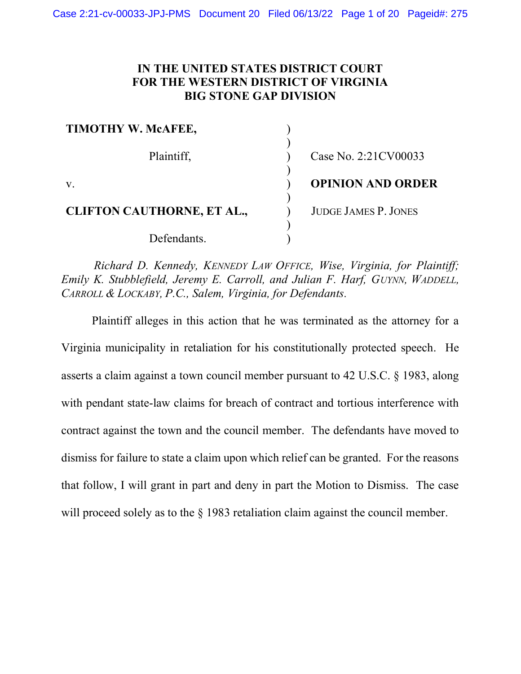# IN THE UNITED STATES DISTRICT COURT FOR THE WESTERN DISTRICT OF VIRGINIA BIG STONE GAP DIVISION

| TIMOTHY W. MCAFEE,                |                             |
|-----------------------------------|-----------------------------|
| Plaintiff,                        | Case No. 2:21CV00033        |
| $V_{\rm A}$                       | <b>OPINION AND ORDER</b>    |
| <b>CLIFTON CAUTHORNE, ET AL.,</b> | <b>JUDGE JAMES P. JONES</b> |
| Defendants.                       |                             |

 Richard D. Kennedy, KENNEDY LAW OFFICE, Wise, Virginia, for Plaintiff; Emily K. Stubblefield, Jeremy E. Carroll, and Julian F. Harf, GUYNN, WADDELL, CARROLL & LOCKABY, P.C., Salem, Virginia, for Defendants.

Plaintiff alleges in this action that he was terminated as the attorney for a Virginia municipality in retaliation for his constitutionally protected speech. He asserts a claim against a town council member pursuant to 42 U.S.C. § 1983, along with pendant state-law claims for breach of contract and tortious interference with contract against the town and the council member. The defendants have moved to dismiss for failure to state a claim upon which relief can be granted. For the reasons that follow, I will grant in part and deny in part the Motion to Dismiss. The case will proceed solely as to the § 1983 retaliation claim against the council member.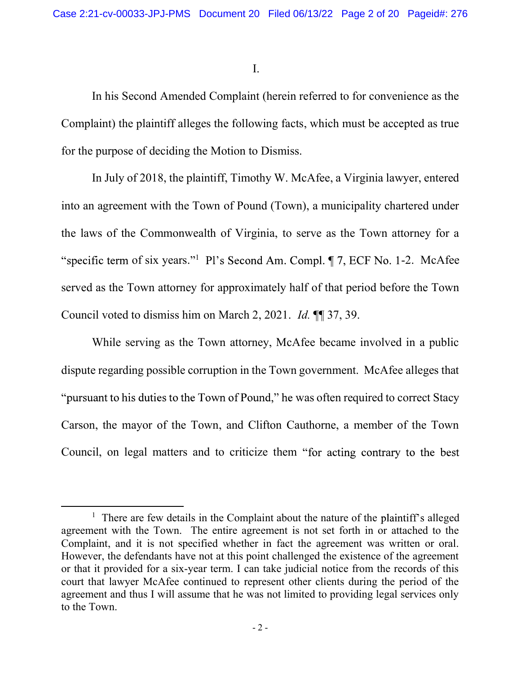I.

In his Second Amended Complaint (herein referred to for convenience as the Complaint) the plaintiff alleges the following facts, which must be accepted as true for the purpose of deciding the Motion to Dismiss.

 In July of 2018, the plaintiff, Timothy W. McAfee, a Virginia lawyer, entered into an agreement with the Town of Pound (Town), a municipality chartered under the laws of the Commonwealth of Virginia, to serve as the Town attorney for a of six years."<sup>1</sup> Pl's Second Am. Compl. ¶ 7, ECF No. 1-2. McAfee served as the Town attorney for approximately half of that period before the Town Council voted to dismiss him on March 2, 2021. Id. ¶¶ 37, 39.

 While serving as the Town attorney, McAfee became involved in a public dispute regarding possible corruption in the Town government. McAfee alleges that "pursuant to his duties to the Town of Pound," he was often required to correct Stacy Carson, the mayor of the Town, and Clifton Cauthorne, a member of the Town Council, on legal matters and to criticize them "for acting contrary to the best

<sup>&</sup>lt;sup>1</sup> There are few details in the Complaint about the nature of the plaintiff's alleged agreement with the Town. The entire agreement is not set forth in or attached to the Complaint, and it is not specified whether in fact the agreement was written or oral. However, the defendants have not at this point challenged the existence of the agreement or that it provided for a six-year term. I can take judicial notice from the records of this court that lawyer McAfee continued to represent other clients during the period of the agreement and thus I will assume that he was not limited to providing legal services only to the Town.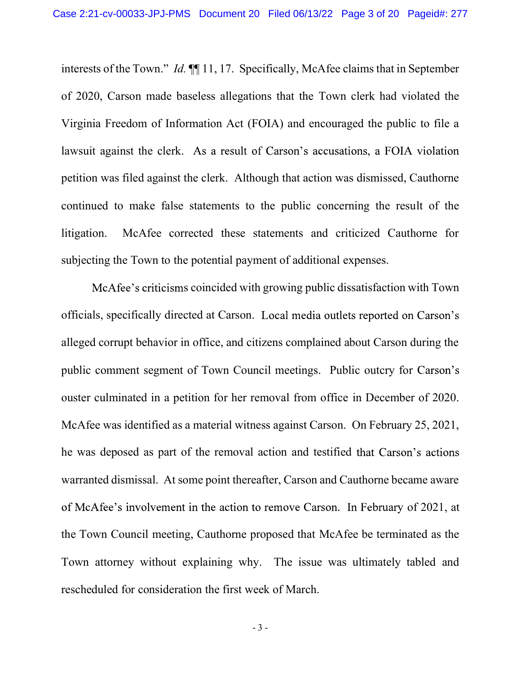interests of the Town." *Id.*  $\P\P$  11, 17. Specifically, McAfee claims that in September of 2020, Carson made baseless allegations that the Town clerk had violated the Virginia Freedom of Information Act (FOIA) and encouraged the public to file a lawsuit against the clerk. As a result of Carson's accusations, a FOIA violation petition was filed against the clerk. Although that action was dismissed, Cauthorne continued to make false statements to the public concerning the result of the litigation. McAfee corrected these statements and criticized Cauthorne for subjecting the Town to the potential payment of additional expenses.

McAfee's criticisms coincided with growing public dissatisfaction with Town officials, specifically directed at Carson. Local media outlets reported on Carson's alleged corrupt behavior in office, and citizens complained about Carson during the public comment segment of Town Council meetings. Public outcry for ouster culminated in a petition for her removal from office in December of 2020. McAfee was identified as a material witness against Carson. On February 25, 2021, he was deposed as part of the removal action and testified that Carson's actions warranted dismissal. At some point thereafter, Carson and Cauthorne became aware of McAfee's involvement in the action to remove Carson. In February of 2021, at the Town Council meeting, Cauthorne proposed that McAfee be terminated as the Town attorney without explaining why. The issue was ultimately tabled and rescheduled for consideration the first week of March.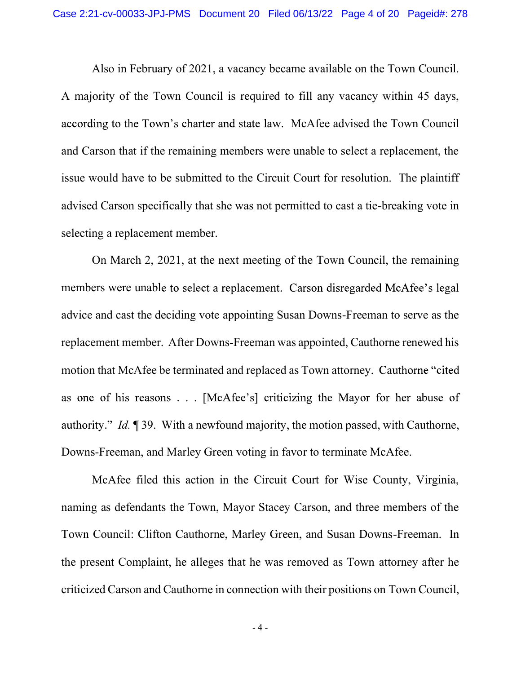Also in February of 2021, a vacancy became available on the Town Council. A majority of the Town Council is required to fill any vacancy within 45 days, according to the Town's charter and state law. McAfee advised the Town Council and Carson that if the remaining members were unable to select a replacement, the issue would have to be submitted to the Circuit Court for resolution. The plaintiff advised Carson specifically that she was not permitted to cast a tie-breaking vote in selecting a replacement member.

On March 2, 2021, at the next meeting of the Town Council, the remaining members were unable to select a replacement. Carson disregarded McAfee's legal advice and cast the deciding vote appointing Susan Downs-Freeman to serve as the replacement member. After Downs-Freeman was appointed, Cauthorne renewed his motion that McAfee be terminated and replaced as Town attorney. Cauthorne "cited" as one of his reasons . . . [McAfee's] criticizing the Mayor for her abuse of authority." Id.  $\mathbb{I}$  39. With a newfound majority, the motion passed, with Cauthorne, Downs-Freeman, and Marley Green voting in favor to terminate McAfee.

McAfee filed this action in the Circuit Court for Wise County, Virginia, naming as defendants the Town, Mayor Stacey Carson, and three members of the Town Council: Clifton Cauthorne, Marley Green, and Susan Downs-Freeman. In the present Complaint, he alleges that he was removed as Town attorney after he criticized Carson and Cauthorne in connection with their positions on Town Council,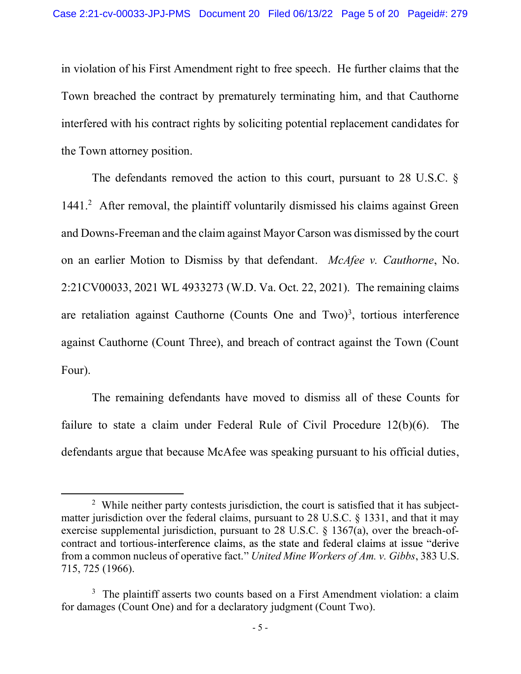in violation of his First Amendment right to free speech. He further claims that the Town breached the contract by prematurely terminating him, and that Cauthorne interfered with his contract rights by soliciting potential replacement candidates for the Town attorney position.

The defendants removed the action to this court, pursuant to 28 U.S.C.  $\delta$ 1441.<sup>2</sup> After removal, the plaintiff voluntarily dismissed his claims against Green and Downs-Freeman and the claim against Mayor Carson was dismissed by the court on an earlier Motion to Dismiss by that defendant. McAfee v. Cauthorne, No. 2:21CV00033, 2021 WL 4933273 (W.D. Va. Oct. 22, 2021). The remaining claims are retaliation against Cauthorne (Counts One and Two)<sup>3</sup>, tortious interference against Cauthorne (Count Three), and breach of contract against the Town (Count Four).

The remaining defendants have moved to dismiss all of these Counts for failure to state a claim under Federal Rule of Civil Procedure 12(b)(6). The defendants argue that because McAfee was speaking pursuant to his official duties,

<sup>&</sup>lt;sup>2</sup> While neither party contests jurisdiction, the court is satisfied that it has subjectmatter jurisdiction over the federal claims, pursuant to 28 U.S.C. § 1331, and that it may exercise supplemental jurisdiction, pursuant to 28 U.S.C.  $\frac{1367(a)}{a}$ , over the breach-ofcontract and tortious-interference claims, as the state and federal claims at issue "derive" from a common nucleus of operative fact." United Mine Workers of Am. v. Gibbs, 383 U.S. 715, 725 (1966).

 $3$  The plaintiff asserts two counts based on a First Amendment violation: a claim for damages (Count One) and for a declaratory judgment (Count Two).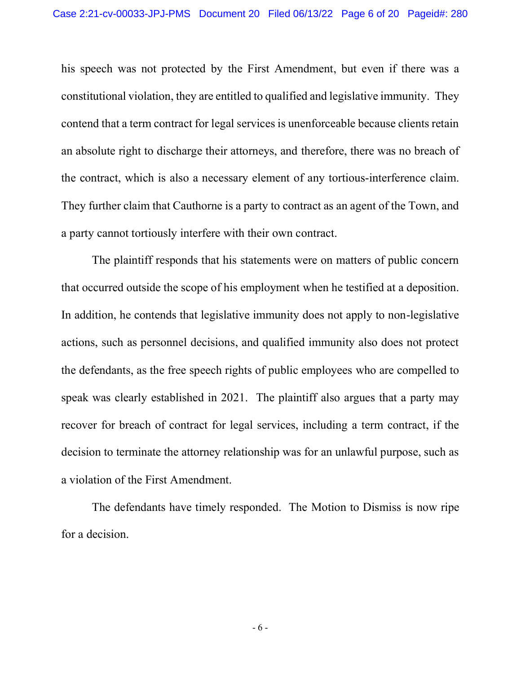his speech was not protected by the First Amendment, but even if there was a constitutional violation, they are entitled to qualified and legislative immunity. They contend that a term contract for legal services is unenforceable because clients retain an absolute right to discharge their attorneys, and therefore, there was no breach of the contract, which is also a necessary element of any tortious-interference claim. They further claim that Cauthorne is a party to contract as an agent of the Town, and a party cannot tortiously interfere with their own contract.

The plaintiff responds that his statements were on matters of public concern that occurred outside the scope of his employment when he testified at a deposition. In addition, he contends that legislative immunity does not apply to non-legislative actions, such as personnel decisions, and qualified immunity also does not protect the defendants, as the free speech rights of public employees who are compelled to speak was clearly established in 2021. The plaintiff also argues that a party may recover for breach of contract for legal services, including a term contract, if the decision to terminate the attorney relationship was for an unlawful purpose, such as a violation of the First Amendment.

The defendants have timely responded. The Motion to Dismiss is now ripe for a decision.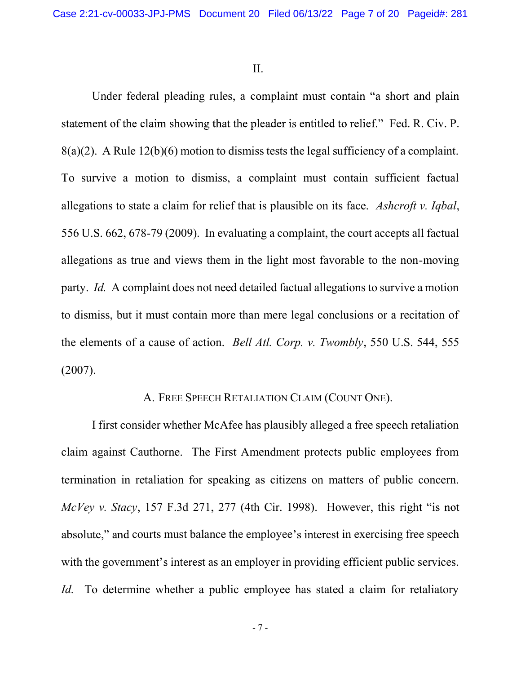II.

Under federal pleading rules, a complaint must contain "a short and plain statement of the claim showing that the pleader is entitled to relief." Fed. R. Civ. P. 8(a)(2). A Rule 12(b)(6) motion to dismiss tests the legal sufficiency of a complaint. To survive a motion to dismiss, a complaint must contain sufficient factual allegations to state a claim for relief that is plausible on its face. Ashcroft v. Iqbal, 556 U.S. 662, 678-79 (2009). In evaluating a complaint, the court accepts all factual allegations as true and views them in the light most favorable to the non-moving party. Id. A complaint does not need detailed factual allegations to survive a motion to dismiss, but it must contain more than mere legal conclusions or a recitation of the elements of a cause of action. Bell Atl. Corp. v. Twombly, 550 U.S. 544, 555 (2007).

# A. FREE SPEECH RETALIATION CLAIM (COUNT ONE).

 I first consider whether McAfee has plausibly alleged a free speech retaliation claim against Cauthorne. The First Amendment protects public employees from termination in retaliation for speaking as citizens on matters of public concern.  $McVey$  v. Stacy, 157 F.3d 271, 277 (4th Cir. 1998). However, this right "is not absolute," and courts must balance the employee's interest in exercising free speech with the government's interest as an employer in providing efficient public services. Id. To determine whether a public employee has stated a claim for retaliatory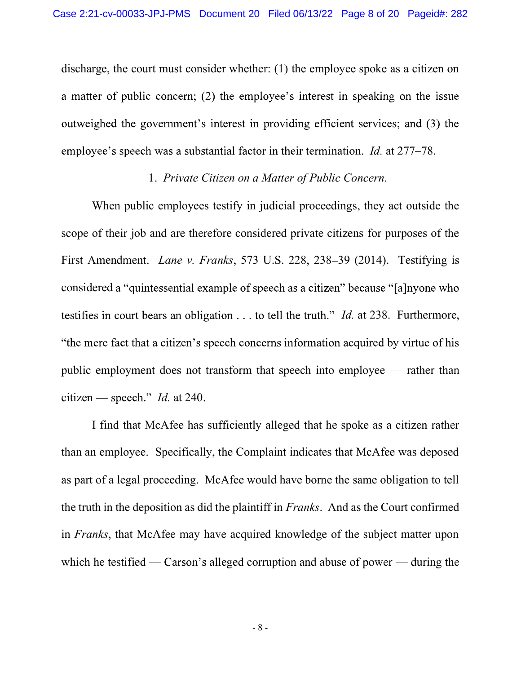discharge, the court must consider whether: (1) the employee spoke as a citizen on a matter of public concern; (2) the employee's interest in speaking on the issue outweighed the government's interest in providing efficient services; and (3) the employee's speech was a substantial factor in their termination. *Id.* at 277–78.

## 1. Private Citizen on a Matter of Public Concern.

When public employees testify in judicial proceedings, they act outside the scope of their job and are therefore considered private citizens for purposes of the First Amendment. *Lane v. Franks*, 573 U.S. 228, 238–39 (2014). Testifying is considered a "quintessential example of speech as a citizen" because "[a] nyone who testifies in court bears an obligation  $\dots$  to tell the truth." *Id.* at 238. Furthermore, "the mere fact that a citizen's speech concerns information acquired by virtue of his public employment does not transform that speech into employee  $-$  rather than citizen — speech." *Id.* at 240.

 I find that McAfee has sufficiently alleged that he spoke as a citizen rather than an employee. Specifically, the Complaint indicates that McAfee was deposed as part of a legal proceeding. McAfee would have borne the same obligation to tell the truth in the deposition as did the plaintiff in Franks. And as the Court confirmed in Franks, that McAfee may have acquired knowledge of the subject matter upon which he testified — Carson's alleged corruption and abuse of power — during the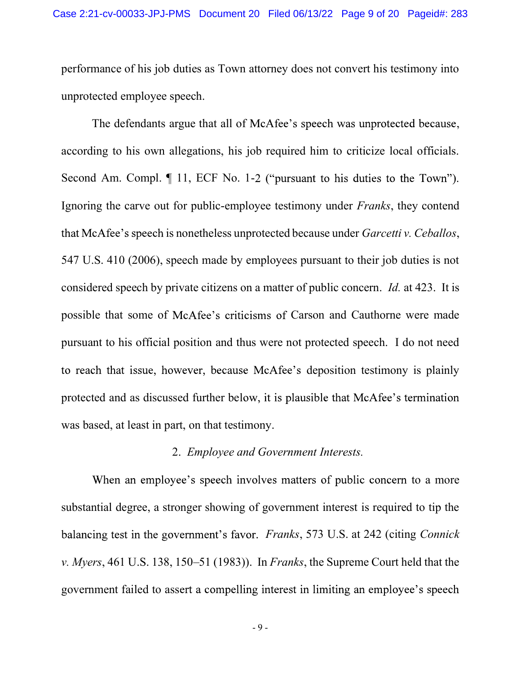performance of his job duties as Town attorney does not convert his testimony into unprotected employee speech.

The defendants argue that all of McAfee's speech was unprotected because, according to his own allegations, his job required him to criticize local officials. Second Am. Compl.  $\P$  11, ECF No. 1-2 ("pursuant to his duties to the Town"). Ignoring the carve out for public-employee testimony under Franks, they contend that McAfee's speech is nonetheless unprotected because under Garcetti v. Ceballos, 547 U.S. 410 (2006), speech made by employees pursuant to their job duties is not considered speech by private citizens on a matter of public concern. Id. at 423. It is possible that some of McAfee's criticisms of Carson and Cauthorne were made pursuant to his official position and thus were not protected speech. I do not need to reach that issue, however, because McAfee's deposition testimony is plainly protected and as discussed further below, it is plausible that McAfee's termination was based, at least in part, on that testimony.

# 2. Employee and Government Interests.

When an employee's speech involves matters of public concern to a more substantial degree, a stronger showing of government interest is required to tip the balancing test in the government's favor. *Franks*, 573 U.S. at 242 (citing *Connick* v. Myers, 461 U.S. 138, 150–51 (1983)). In Franks, the Supreme Court held that the government failed to assert a compelling interest in limiting an employee's speech

- 9 -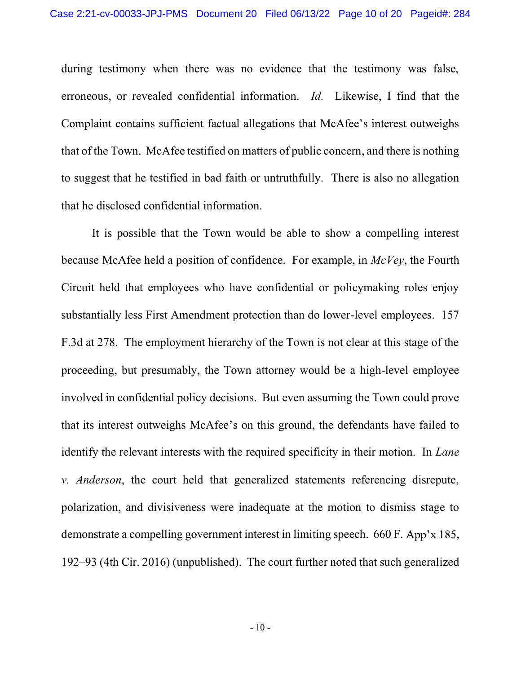during testimony when there was no evidence that the testimony was false, erroneous, or revealed confidential information. Id. Likewise, I find that the Complaint contains sufficient factual allegations that McAfee's interest outweighs that of the Town. McAfee testified on matters of public concern, and there is nothing to suggest that he testified in bad faith or untruthfully. There is also no allegation that he disclosed confidential information.

It is possible that the Town would be able to show a compelling interest because McAfee held a position of confidence. For example, in McVey, the Fourth Circuit held that employees who have confidential or policymaking roles enjoy substantially less First Amendment protection than do lower-level employees. 157 F.3d at 278. The employment hierarchy of the Town is not clear at this stage of the proceeding, but presumably, the Town attorney would be a high-level employee involved in confidential policy decisions. But even assuming the Town could prove that its interest outweighs McAfee's on this ground, the defendants have failed to identify the relevant interests with the required specificity in their motion. In *Lane* v. Anderson, the court held that generalized statements referencing disrepute, polarization, and divisiveness were inadequate at the motion to dismiss stage to demonstrate a compelling government interest in limiting speech.  $660$  F. App'x 185, 192 93 (4th Cir. 2016) (unpublished). The court further noted that such generalized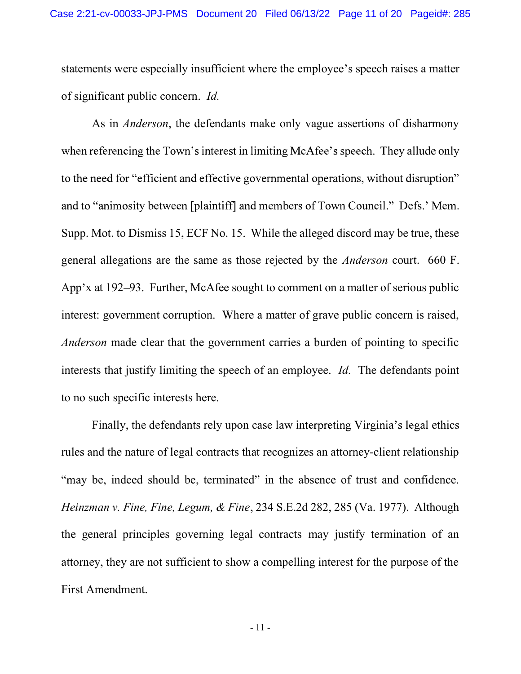statements were especially insufficient where the employee's speech raises a matter of significant public concern. Id.

 As in Anderson, the defendants make only vague assertions of disharmony when referencing the Town's interest in limiting McAfee's speech. They allude only to the need for "efficient and effective governmental operations, without disruption" and to "animosity between [plaintiff] and members of Town Council." Defs.' Mem. Supp. Mot. to Dismiss 15, ECF No. 15. While the alleged discord may be true, these general allegations are the same as those rejected by the Anderson court. 660 F. App'x at 192–93. Further, McAfee sought to comment on a matter of serious public interest: government corruption. Where a matter of grave public concern is raised, Anderson made clear that the government carries a burden of pointing to specific interests that justify limiting the speech of an employee. Id. The defendants point to no such specific interests here.

Finally, the defendants rely upon case law interpreting Virginia's legal ethics rules and the nature of legal contracts that recognizes an attorney-client relationship "may be, indeed should be, terminated" in the absence of trust and confidence. Heinzman v. Fine, Fine, Legum, & Fine, 234 S.E.2d 282, 285 (Va. 1977). Although the general principles governing legal contracts may justify termination of an attorney, they are not sufficient to show a compelling interest for the purpose of the First Amendment.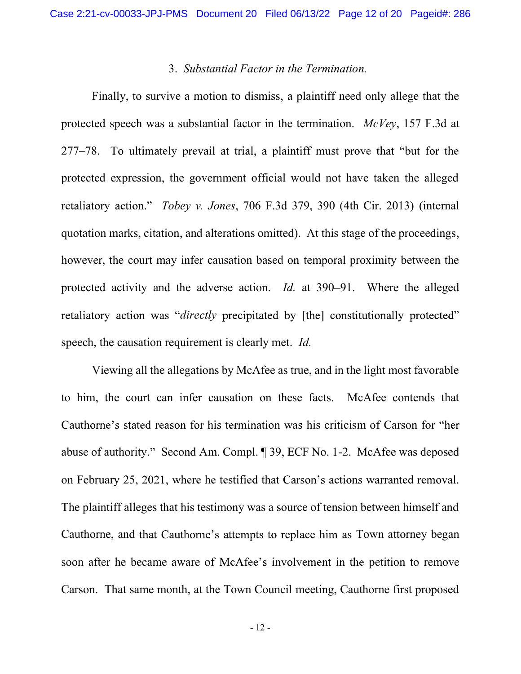## 3. Substantial Factor in the Termination.

Finally, to survive a motion to dismiss, a plaintiff need only allege that the protected speech was a substantial factor in the termination.  $McVev$ , 157 F.3d at 277–78. To ultimately prevail at trial, a plaintiff must prove that "but for the protected expression, the government official would not have taken the alleged retaliatory action." Tobey v. Jones, 706 F.3d 379, 390 (4th Cir. 2013) (internal quotation marks, citation, and alterations omitted). At this stage of the proceedings, however, the court may infer causation based on temporal proximity between the protected activity and the adverse action. Id. at 390-91. Where the alleged retaliatory action was "*directly* precipitated by [the] constitutionally protected" speech, the causation requirement is clearly met. Id.

Viewing all the allegations by McAfee as true, and in the light most favorable to him, the court can infer causation on these facts. McAfee contends that Cauthorne's stated reason for his termination was his criticism of Carson for "her abuse of authority." Second Am. Compl. ¶ 39, ECF No. 1-2. McAfee was deposed on February 25, 2021, where he testified that Carson's actions warranted removal. The plaintiff alleges that his testimony was a source of tension between himself and Cauthorne, and that Cauthorne's attempts to replace him as Town attorney began soon after he became aware of McAfee's involvement in the petition to remove Carson. That same month, at the Town Council meeting, Cauthorne first proposed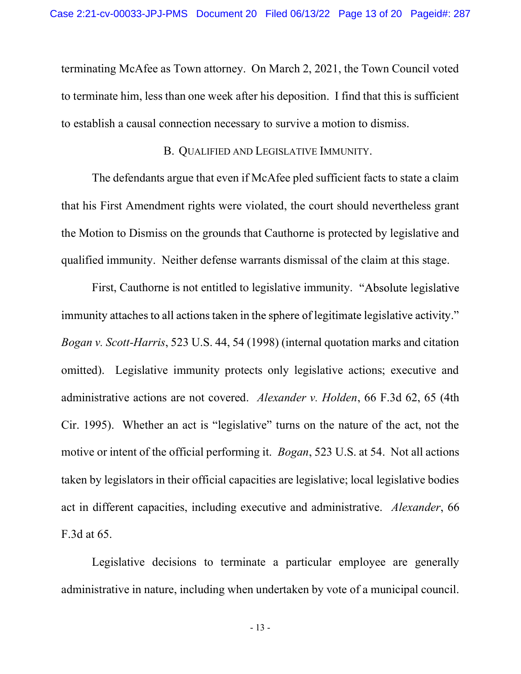terminating McAfee as Town attorney. On March 2, 2021, the Town Council voted to terminate him, less than one week after his deposition. I find that this is sufficient to establish a causal connection necessary to survive a motion to dismiss.

### B. QUALIFIED AND LEGISLATIVE IMMUNITY.

The defendants argue that even if McAfee pled sufficient facts to state a claim that his First Amendment rights were violated, the court should nevertheless grant the Motion to Dismiss on the grounds that Cauthorne is protected by legislative and qualified immunity. Neither defense warrants dismissal of the claim at this stage.

First, Cauthorne is not entitled to legislative immunity. "Absolute legislative immunity attaches to all actions taken in the sphere of legitimate legislative activity." Bogan v. Scott-Harris, 523 U.S. 44, 54 (1998) (internal quotation marks and citation omitted). Legislative immunity protects only legislative actions; executive and administrative actions are not covered. Alexander v. Holden, 66 F.3d 62, 65 (4th Cir. 1995). Whether an act is "legislative" turns on the nature of the act, not the motive or intent of the official performing it. *Bogan*, 523 U.S. at 54. Not all actions taken by legislators in their official capacities are legislative; local legislative bodies act in different capacities, including executive and administrative. Alexander, 66 F.3d at 65.

Legislative decisions to terminate a particular employee are generally administrative in nature, including when undertaken by vote of a municipal council.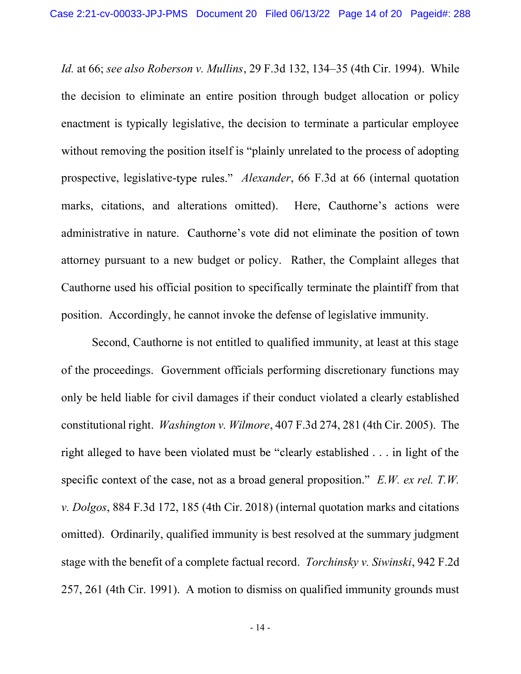Id. at 66; see also Roberson v. Mullins, 29 F.3d 132, 134–35 (4th Cir. 1994). While the decision to eliminate an entire position through budget allocation or policy enactment is typically legislative, the decision to terminate a particular employee without removing the position itself is "plainly unrelated to the process of adopting prospective, legislative-type rules." *Alexander*, 66 F.3d at 66 (internal quotation marks, citations, and alterations omitted). Here, Cauthorne's actions were administrative in nature. Cauthorne's vote did not eliminate the position of town attorney pursuant to a new budget or policy. Rather, the Complaint alleges that Cauthorne used his official position to specifically terminate the plaintiff from that position. Accordingly, he cannot invoke the defense of legislative immunity.

Second, Cauthorne is not entitled to qualified immunity, at least at this stage of the proceedings. Government officials performing discretionary functions may only be held liable for civil damages if their conduct violated a clearly established constitutional right. Washington v. Wilmore, 407 F.3d 274, 281 (4th Cir. 2005). The right alleged to have been violated must be "clearly established . . . in light of the specific context of the case, not as a broad general proposition."  $E.W.$  ex rel. T.W. v. Dolgos, 884 F.3d 172, 185 (4th Cir. 2018) (internal quotation marks and citations omitted). Ordinarily, qualified immunity is best resolved at the summary judgment stage with the benefit of a complete factual record. Torchinsky v. Siwinski, 942 F.2d 257, 261 (4th Cir. 1991). A motion to dismiss on qualified immunity grounds must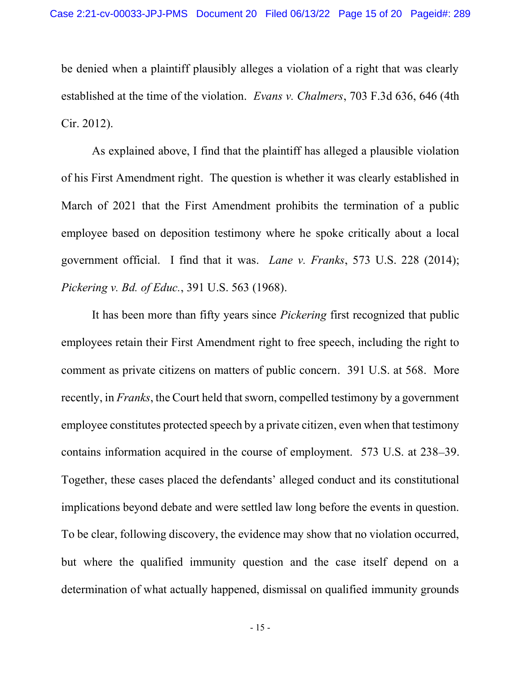be denied when a plaintiff plausibly alleges a violation of a right that was clearly established at the time of the violation. Evans v. Chalmers, 703 F.3d 636, 646 (4th Cir. 2012).

As explained above, I find that the plaintiff has alleged a plausible violation of his First Amendment right. The question is whether it was clearly established in March of 2021 that the First Amendment prohibits the termination of a public employee based on deposition testimony where he spoke critically about a local government official. I find that it was. Lane v. Franks, 573 U.S. 228 (2014); Pickering v. Bd. of Educ., 391 U.S. 563 (1968).

It has been more than fifty years since Pickering first recognized that public employees retain their First Amendment right to free speech, including the right to comment as private citizens on matters of public concern. 391 U.S. at 568. More recently, in *Franks*, the Court held that sworn, compelled testimony by a government employee constitutes protected speech by a private citizen, even when that testimony contains information acquired in the course of employment. 573 U.S. at 238–39. Together, these cases placed the defendants' alleged conduct and its constitutional implications beyond debate and were settled law long before the events in question. To be clear, following discovery, the evidence may show that no violation occurred, but where the qualified immunity question and the case itself depend on a determination of what actually happened, dismissal on qualified immunity grounds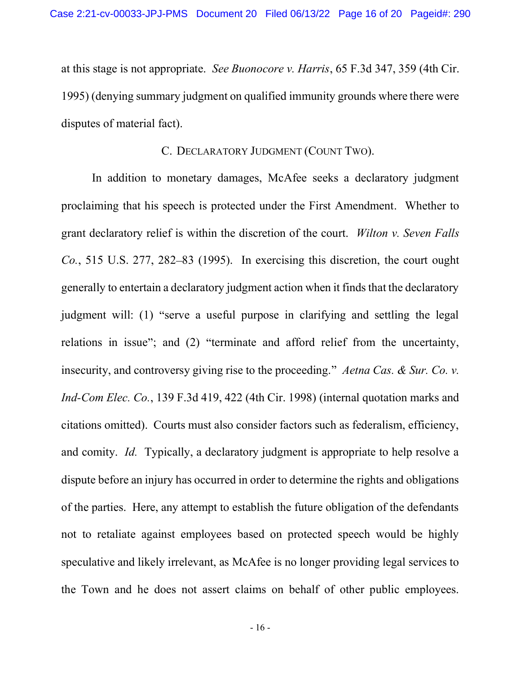at this stage is not appropriate. See Buonocore v. Harris, 65 F.3d 347, 359 (4th Cir. 1995) (denying summary judgment on qualified immunity grounds where there were disputes of material fact).

## C. DECLARATORY JUDGMENT (COUNT TWO).

In addition to monetary damages, McAfee seeks a declaratory judgment proclaiming that his speech is protected under the First Amendment. Whether to grant declaratory relief is within the discretion of the court. Wilton v. Seven Falls  $Co.$ , 515 U.S. 277, 282–83 (1995). In exercising this discretion, the court ought generally to entertain a declaratory judgment action when it finds that the declaratory judgment will: (1) "serve a useful purpose in clarifying and settling the legal relations in issue"; and (2) "terminate and afford relief from the uncertainty, insecurity, and controversy giving rise to the proceeding." Aetna Cas. & Sur. Co. v. Ind-Com Elec. Co., 139 F.3d 419, 422 (4th Cir. 1998) (internal quotation marks and citations omitted). Courts must also consider factors such as federalism, efficiency, and comity. Id. Typically, a declaratory judgment is appropriate to help resolve a dispute before an injury has occurred in order to determine the rights and obligations of the parties. Here, any attempt to establish the future obligation of the defendants not to retaliate against employees based on protected speech would be highly speculative and likely irrelevant, as McAfee is no longer providing legal services to the Town and he does not assert claims on behalf of other public employees.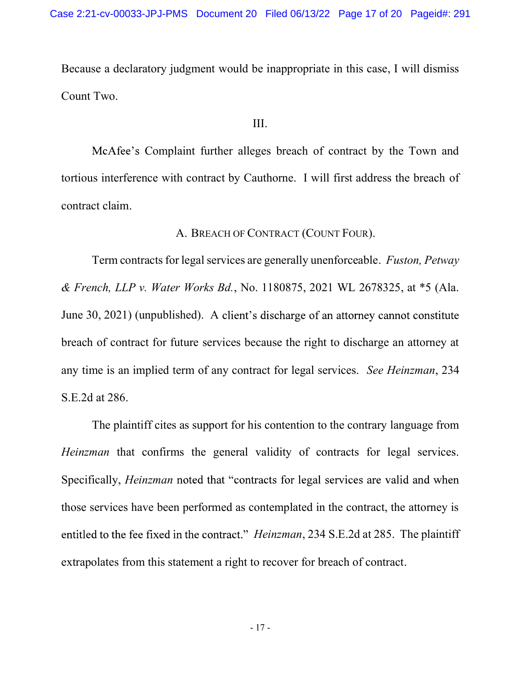Because a declaratory judgment would be inappropriate in this case, I will dismiss Count Two.

### III.

McAfee's Complaint further alleges breach of contract by the Town and tortious interference with contract by Cauthorne. I will first address the breach of contract claim.

# A. BREACH OF CONTRACT (COUNT FOUR).

Term contracts for legal services are generally unenforceable. Fuston, Petway & French, LLP v. Water Works Bd., No. 1180875, 2021 WL 2678325, at \*5 (Ala. June 30, 2021) (unpublished). A client's discharge of an attorney cannot constitute breach of contract for future services because the right to discharge an attorney at any time is an implied term of any contract for legal services. See Heinzman, 234 S.E.2d at 286.

The plaintiff cites as support for his contention to the contrary language from Heinzman that confirms the general validity of contracts for legal services. Specifically, *Heinzman* noted that "contracts for legal services are valid and when those services have been performed as contemplated in the contract, the attorney is entitled to the fee fixed in the contract." *Heinzman*, 234 S.E.2d at 285. The plaintiff extrapolates from this statement a right to recover for breach of contract.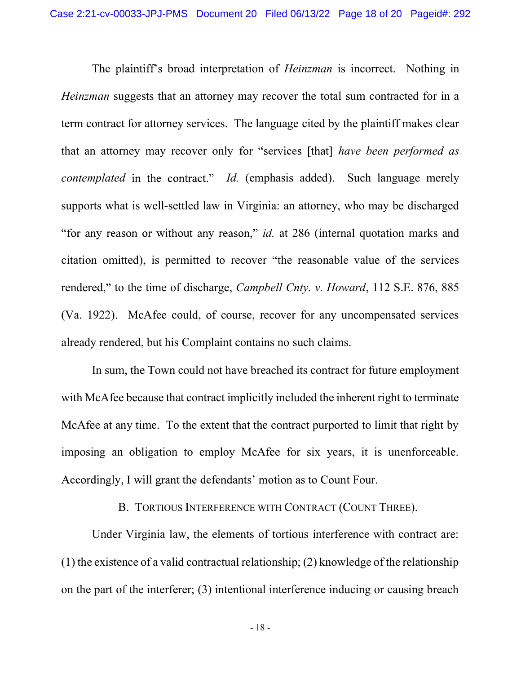The plaintiff's broad interpretation of *Heinzman* is incorrect. Nothing in Heinzman suggests that an attorney may recover the total sum contracted for in a term contract for attorney services. The language cited by the plaintiff makes clear that an attorney may recover only for "services [that] have been performed as *contemplated* in the contract." *Id.* (emphasis added). Such language merely supports what is well-settled law in Virginia: an attorney, who may be discharged "for any reason or without any reason," *id.* at  $286$  (internal quotation marks and citation omitted), is permitted to recover "the reasonable value of the services rendered," to the time of discharge, *Campbell Cnty. v. Howard*, 112 S.E. 876, 885 (Va. 1922). McAfee could, of course, recover for any uncompensated services already rendered, but his Complaint contains no such claims.

In sum, the Town could not have breached its contract for future employment with McAfee because that contract implicitly included the inherent right to terminate McAfee at any time. To the extent that the contract purported to limit that right by imposing an obligation to employ McAfee for six years, it is unenforceable. Accordingly, I will grant the defendants' motion as to Count Four.

# B. TORTIOUS INTERFERENCE WITH CONTRACT (COUNT THREE).

Under Virginia law, the elements of tortious interference with contract are: (1) the existence of a valid contractual relationship; (2) knowledge of the relationship on the part of the interferer; (3) intentional interference inducing or causing breach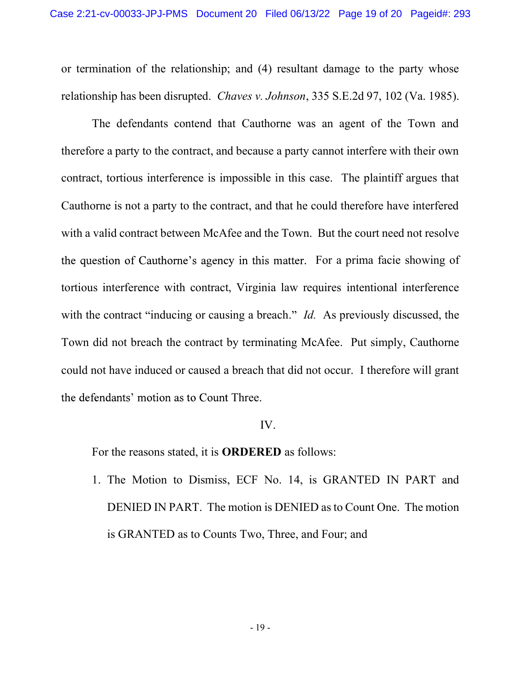or termination of the relationship; and (4) resultant damage to the party whose relationship has been disrupted. Chaves v. Johnson, 335 S.E.2d 97, 102 (Va. 1985).

The defendants contend that Cauthorne was an agent of the Town and therefore a party to the contract, and because a party cannot interfere with their own contract, tortious interference is impossible in this case. The plaintiff argues that Cauthorne is not a party to the contract, and that he could therefore have interfered with a valid contract between McAfee and the Town. But the court need not resolve the question of Cauthorne's agency in this matter. For a prima facie showing of tortious interference with contract, Virginia law requires intentional interference with the contract "inducing or causing a breach." Id. As previously discussed, the Town did not breach the contract by terminating McAfee. Put simply, Cauthorne could not have induced or caused a breach that did not occur. I therefore will grant the defendants' motion as to Count Three.

### IV.

For the reasons stated, it is ORDERED as follows:

1. The Motion to Dismiss, ECF No. 14, is GRANTED IN PART and DENIED IN PART. The motion is DENIED as to Count One. The motion is GRANTED as to Counts Two, Three, and Four; and